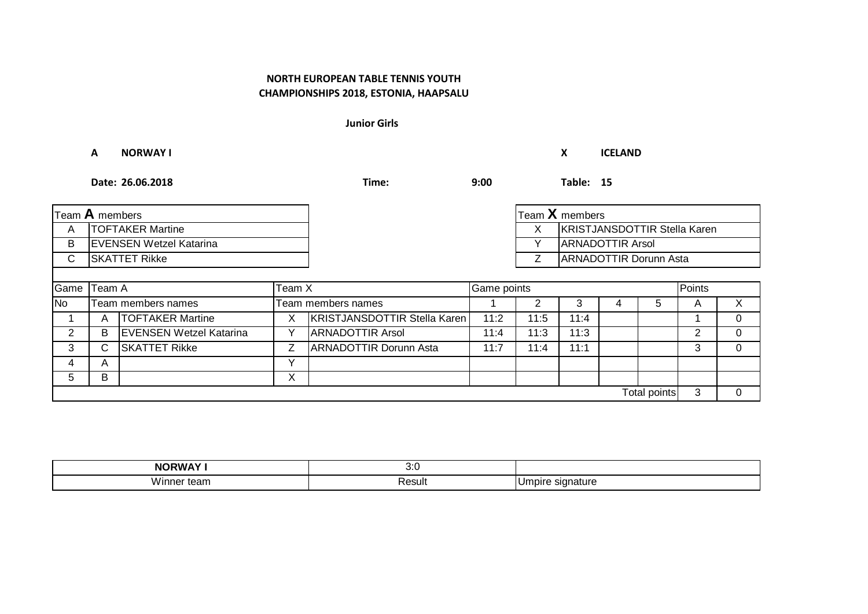**Junior Girls**

**A NORWAY I X ICELAND**

**Date: 26.06.2018 Time: 9:00 Table: 15**

| Team A members |                                |                                |    |                                     | $\mathsf{T}$ eam $\mathsf{X}$ members |      |                              |  |                               |        |                |  |
|----------------|--------------------------------|--------------------------------|----|-------------------------------------|---------------------------------------|------|------------------------------|--|-------------------------------|--------|----------------|--|
| A              | <b>TOFTAKER Martine</b>        |                                |    | X                                   |                                       |      | KRISTJANSDOTTIR Stella Karen |  |                               |        |                |  |
| B              | <b>EVENSEN Wetzel Katarina</b> |                                |    |                                     |                                       | Y    | <b>ARNADOTTIR Arsol</b>      |  |                               |        |                |  |
| C              | <b>SKATTET Rikke</b>           |                                |    |                                     |                                       |      |                              |  | <b>ARNADOTTIR Dorunn Asta</b> |        |                |  |
|                |                                |                                |    |                                     |                                       |      |                              |  |                               |        |                |  |
|                | Game Team A<br>Team X          |                                |    |                                     | Game points                           |      |                              |  |                               | Points |                |  |
| No             |                                | Team members names             |    | Team members names                  |                                       | 2    | 3                            |  | 5.                            | A      | $\mathsf{X}$   |  |
|                | A                              | <b>TOFTAKER Martine</b>        | X. | <b>KRISTJANSDOTTIR Stella Karen</b> | 11:2                                  | 11:5 | 11:4                         |  |                               |        | $\overline{0}$ |  |
| 2              | B                              | <b>EVENSEN Wetzel Katarina</b> | v  | <b>ARNADOTTIR Arsol</b>             | 11:4                                  | 11:3 | 11:3                         |  |                               | 2      | $\Omega$       |  |
| 3              | C                              | <b>SKATTET Rikke</b>           |    | <b>ARNADOTTIR Dorunn Asta</b>       | 11:7                                  | 11:4 | 11:1                         |  |                               | 3      | $\Omega$       |  |
| 4              | A                              |                                | v  |                                     |                                       |      |                              |  |                               |        |                |  |
| 5              | B                              |                                | X  |                                     |                                       |      |                              |  |                               |        |                |  |
|                |                                |                                |    |                                     |                                       |      |                              |  | Total points                  | 3      | $\overline{0}$ |  |

| . <i>. .</i><br>NO.<br>JRW.        | $\cdots$<br>$\mathsf{v}.\mathsf{v}$ |                                     |
|------------------------------------|-------------------------------------|-------------------------------------|
| .<br><b>Wir</b><br>Ö<br>tean<br>பட | ≺esult                              | ature<br>$\sim$ $\sim$ $\sim$<br>יי |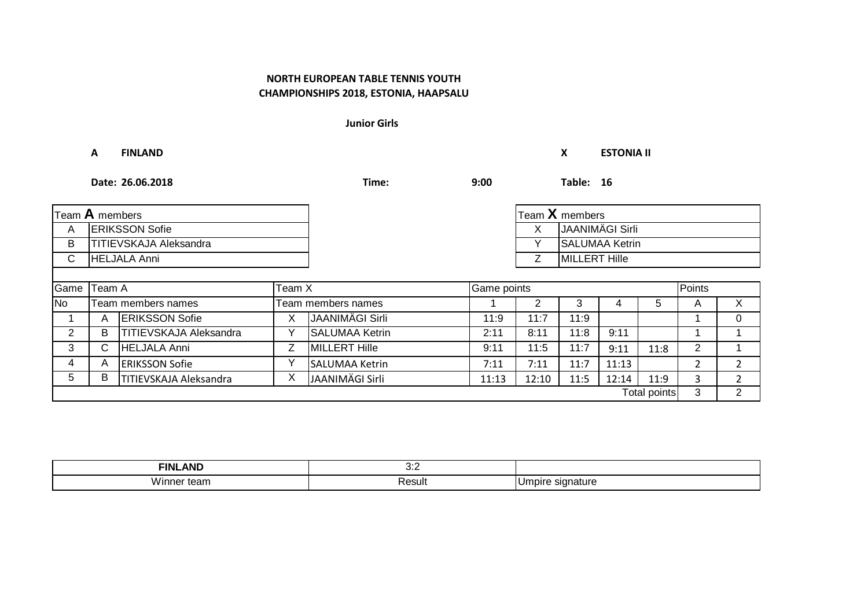**Junior Girls**

**A FINLAND X ESTONIA II Date: 26.06.2018 Time: 9:00 Table: 16** A X ERIKSSON Sofie JAANIMÄGI Sirli B Y TITIEVSKAJA Aleksandra SALUMAA Ketrin C Z HELJALA Anni MILLERT Hille Game No 1 2 3 4 5 A X Team members names Team members names 1 | A |ERIKSSON Sofie | X |JAANIMÄGI Sirli | 11:9 | 11:7 | 11:9 | | | 1 | 0 Team A Team X Game points Points Team **A** members

**ERIKSSON Sofie** 

| <b>AND</b><br>FINL<br>. . | ,,,<br>$\mathsf{v}.\mathsf{v}$ |     |
|---------------------------|--------------------------------|-----|
| <br>VVINNE.<br>.<br>164H  | Result                         | . . |

2 | B |TITIEVSKAJA Aleksandra | Y |SALUMAA Ketrin | 2:11 | 8:11 | 11:8 | 9:11 | | 1 | 1 3 C |HELJALA Anni | Z |MILLERT Hille | 9:11 | 11:5 | 11:7 | 9:11 | 11:8 | 2 | 1 4 ERIKSSON Sofie Y 7:11 7:11 11:7 11:13 2 2 5 | B |TITIEVSKAJA Aleksandra | X |JAANIMÄGI Sirli | 11:13 | 12:10 | 11:5 | 12:14 | 11:9 | 3 | 2

| Геат ${\mathsf X}$ members |
|----------------------------|
| JAANIMÄGI Sirli            |
| <b>SALUMAA Ketrin</b>      |
| IMILLERT Hille             |

Total points

3 2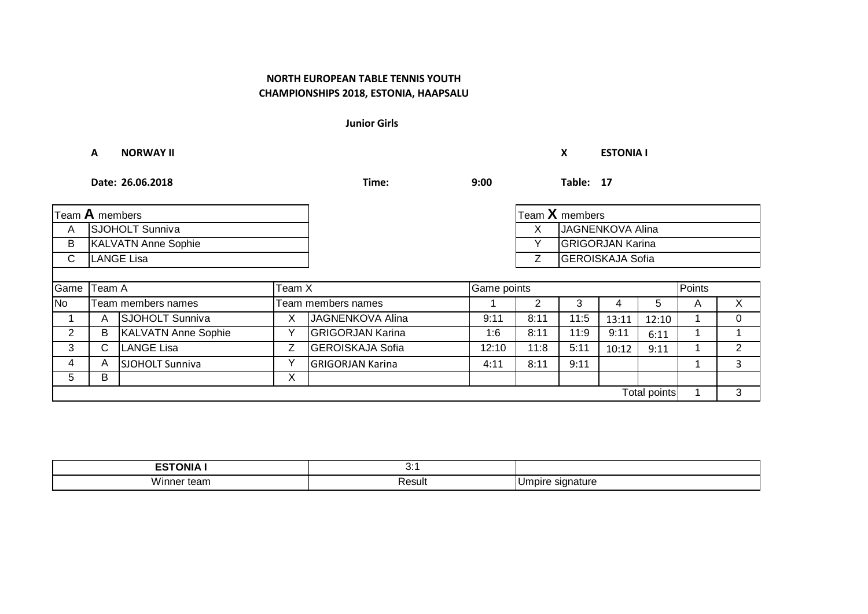**Junior Girls**

#### **A NORWAY II X ESTONIA I**

**Date: 26.06.2018 Time: 9:00 Table: 17**

| Team $A$ members |                            |                            |              |                                        |       |                         | Team X members          |       |              |  |   |
|------------------|----------------------------|----------------------------|--------------|----------------------------------------|-------|-------------------------|-------------------------|-------|--------------|--|---|
| A                |                            | SJOHOLT Sunniva            |              |                                        |       | X                       | JAGNENKOVA Alina        |       |              |  |   |
| B                | <b>KALVATN Anne Sophie</b> |                            |              |                                        | Y     | <b>GRIGORJAN Karina</b> |                         |       |              |  |   |
| $\mathsf{C}$     | <b>LANGE Lisa</b>          |                            |              |                                        |       | Ζ                       | <b>GEROISKAJA Sofia</b> |       |              |  |   |
|                  |                            |                            |              |                                        |       |                         |                         |       |              |  |   |
| Game             | Team A<br>Team X           |                            |              | Points<br>Game points                  |       |                         |                         |       |              |  |   |
| <b>No</b>        |                            | Team members names         |              | 2<br>3<br>5<br>Team members names<br>4 |       |                         | A                       | X     |              |  |   |
|                  | A                          | SJOHOLT Sunniva            | X            | JAGNENKOVA Alina                       | 9:11  | 8:11                    | 11:5                    | 13:11 | 12:10        |  | 0 |
| 2                | B                          | <b>KALVATN Anne Sophie</b> | v            | <b>GRIGORJAN Karina</b>                | 1:6   | 8:11                    | 11:9                    | 9:11  | 6:11         |  |   |
| 3                | C.                         | <b>LANGE Lisa</b>          | Z            | <b>GEROISKAJA Sofia</b>                | 12:10 | 11:8                    | 5:11                    | 10:12 | 9:11         |  | 2 |
| 4                | A                          | <b>SJOHOLT Sunniva</b>     | $\checkmark$ | <b>GRIGORJAN Karina</b>                | 4:11  | 8:11                    | 9:11                    |       |              |  | 3 |
| 5                | B                          |                            | X            |                                        |       |                         |                         |       |              |  |   |
|                  |                            |                            |              |                                        |       |                         |                         |       | Total points |  | 3 |

| _______<br>JNIA         | ъ.,<br>$\cup$ . $\vdots$ |                |
|-------------------------|--------------------------|----------------|
| .<br>W.<br>юı<br>leall. | <b>Result</b>            | noir<br>mature |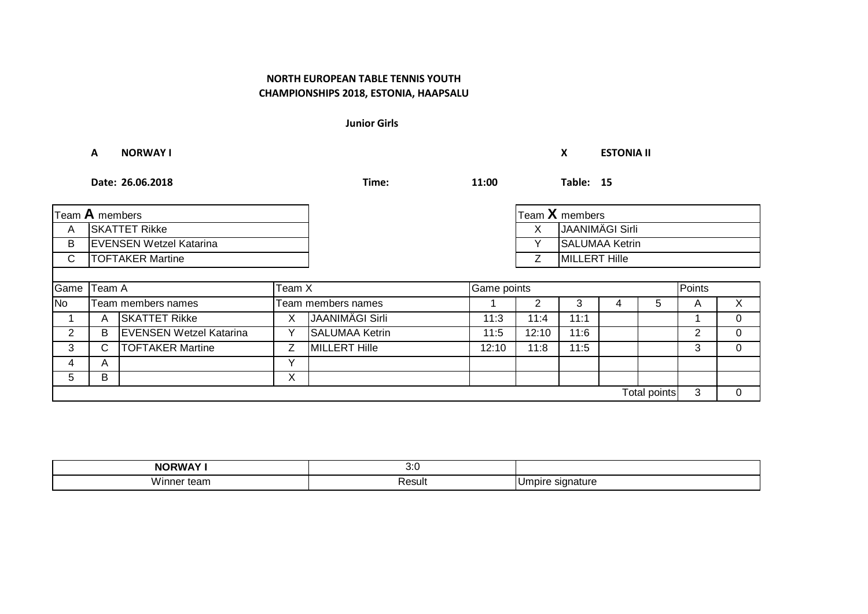**Junior Girls**

#### **A NORWAY I X ESTONIA II**

**Date: 26.06.2018 Time: 11:00 Table: 15**

| Team A members           |                                |                                |             |                        |       |                      | Team $X$ members       |                       |              |   |          |
|--------------------------|--------------------------------|--------------------------------|-------------|------------------------|-------|----------------------|------------------------|-----------------------|--------------|---|----------|
| A                        | <b>SKATTET Rikke</b>           |                                |             |                        |       | x                    | <b>JAANIMÄGI Sirli</b> |                       |              |   |          |
| B                        | <b>EVENSEN Wetzel Katarina</b> |                                |             |                        | Υ     |                      |                        | <b>SALUMAA Ketrin</b> |              |   |          |
| $\mathsf{C}$             | <b>TOFTAKER Martine</b>        |                                |             |                        | Z     | <b>MILLERT Hille</b> |                        |                       |              |   |          |
|                          |                                |                                |             |                        |       |                      |                        |                       |              |   |          |
| Game<br>Team A<br>Team X |                                |                                | Game points |                        |       |                      |                        | Points                |              |   |          |
| No                       |                                | Team members names             |             | Team members names     |       |                      |                        |                       | 5            | A | X        |
|                          | A                              | <b>SKATTET Rikke</b>           | X.          | <b>JAANIMÄGI Sirli</b> | 11:3  | 11:4                 | 11:1                   |                       |              |   | $\Omega$ |
| 2                        | B                              | <b>EVENSEN Wetzel Katarina</b> |             | <b>SALUMAA Ketrin</b>  | 11:5  | 12:10                | 11:6                   |                       |              | 2 | 0        |
| 3                        | C.                             | <b>TOFTAKER Martine</b>        | Z.          | <b>MILLERT Hille</b>   | 12:10 | 11:8                 | 11:5                   |                       |              | 3 | $\Omega$ |
| 4                        | A                              |                                | v           |                        |       |                      |                        |                       |              |   |          |
| 5                        | B                              |                                | v<br>⌒      |                        |       |                      |                        |                       |              |   |          |
|                          |                                |                                |             |                        |       |                      |                        |                       | Total points | 3 | $\Omega$ |

| <b>NOI</b>                  | ,,,<br>v.v  |                    |
|-----------------------------|-------------|--------------------|
| <br>VV II.<br>∵tean.<br>. . | Result<br>. | `ature<br>11 J I I |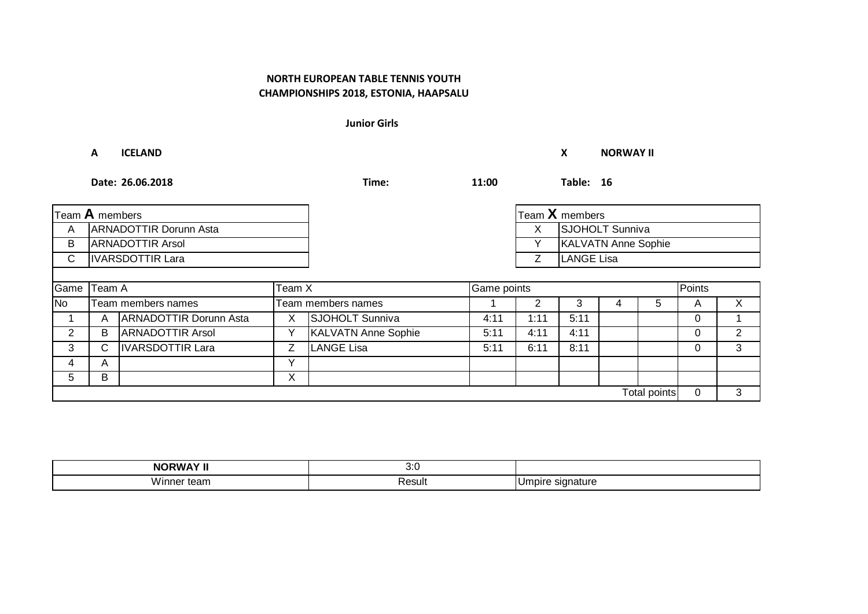**Junior Girls**

### **A ICELAND X NORWAY II**

**Date: 26.06.2018 Time: 11:00 Table: 16**

| Team A members |                               |                               |              |                            |      |                            | Team $X$ members  |   |              |             |                |
|----------------|-------------------------------|-------------------------------|--------------|----------------------------|------|----------------------------|-------------------|---|--------------|-------------|----------------|
| A              | <b>ARNADOTTIR Dorunn Asta</b> |                               |              |                            |      | X                          | SJOHOLT Sunniva   |   |              |             |                |
| B              |                               | <b>ARNADOTTIR Arsol</b>       |              |                            |      | <b>KALVATN Anne Sophie</b> |                   |   |              |             |                |
| $\mathsf{C}$   | <b>IVARSDOTTIR Lara</b>       |                               |              |                            |      | Ζ                          | <b>LANGE Lisa</b> |   |              |             |                |
|                |                               |                               |              |                            |      |                            |                   |   |              |             |                |
| Game           | Team A<br>Team X              |                               |              | Game points                |      |                            |                   |   | Points       |             |                |
| $\overline{N}$ |                               | Team members names            |              | Team members names<br>5    |      |                            | A                 | X |              |             |                |
|                | A                             | <b>ARNADOTTIR Dorunn Asta</b> | X            | SJOHOLT Sunniva            | 4:11 | 1:11                       | 5:11              |   |              | $\Omega$    |                |
| $\overline{2}$ | B                             | <b>ARNADOTTIR Arsol</b>       | v            | <b>KALVATN Anne Sophie</b> | 5:11 | 4:11                       | 4:11              |   |              | 0           | $\overline{2}$ |
| 3              | С                             | <b>IVARSDOTTIR Lara</b>       | Z            | <b>LANGE Lisa</b>          | 5:11 | 6:11                       | 8:11              |   |              | 0           | 3              |
| 4              | A                             |                               | $\checkmark$ |                            |      |                            |                   |   |              |             |                |
| 5              | В                             |                               | X            |                            |      |                            |                   |   |              |             |                |
|                |                               |                               |              |                            |      |                            |                   |   | Total points | $\mathbf 0$ | 3              |

| -----<br><b>NIOI</b><br>пм. | $\mathbf{z}$<br>v.v |       |
|-----------------------------|---------------------|-------|
| <br>W.<br>τeam<br>161       | ٬ …<br>า∪cจนเ       | าatur |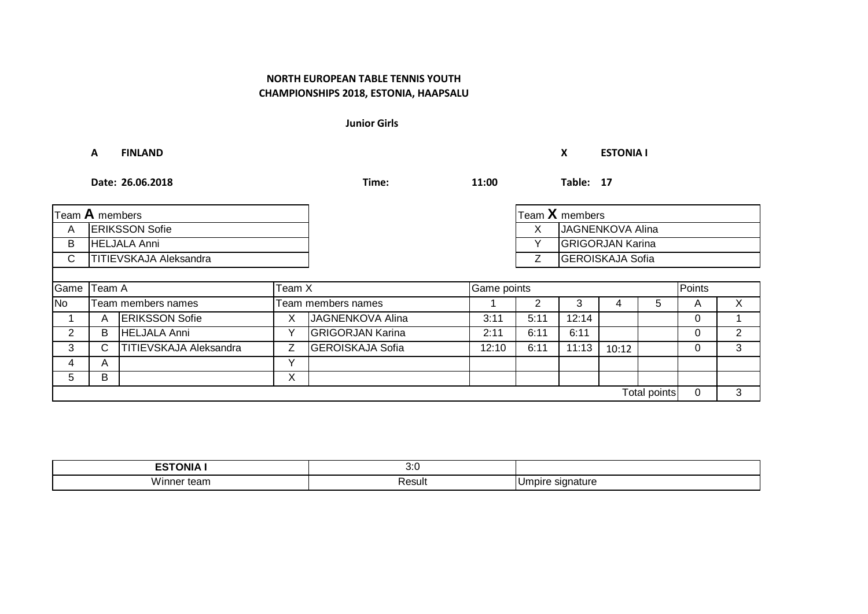**Junior Girls**

### **A FINLAND X ESTONIA I**

**Date: 26.06.2018 Time: 11:00 Table: 17**

|                          | Team $X$ members<br>Team $A$ members |                        |                   |                         |        |             |                         |       |              |                  |                |  |  |  |
|--------------------------|--------------------------------------|------------------------|-------------------|-------------------------|--------|-------------|-------------------------|-------|--------------|------------------|----------------|--|--|--|
| A                        | <b>ERIKSSON Sofie</b>                |                        |                   |                         |        |             |                         |       | X.           | JAGNENKOVA Alina |                |  |  |  |
| B                        |                                      | <b>HELJALA Anni</b>    |                   |                         |        | $\check{ }$ | <b>GRIGORJAN Karina</b> |       |              |                  |                |  |  |  |
| С                        | <b>TITIEVSKAJA Aleksandra</b>        |                        |                   |                         |        |             | <b>GEROISKAJA Sofia</b> |       |              |                  |                |  |  |  |
|                          |                                      |                        |                   |                         |        |             |                         |       |              |                  |                |  |  |  |
| Game<br>Team A<br>Team X |                                      |                        |                   | Game points             | Points |             |                         |       |              |                  |                |  |  |  |
| <b>No</b>                |                                      | Team members names     |                   | Team members names      |        | 2           | 3                       | 4     | 5            | A                | X.             |  |  |  |
|                          | A                                    | <b>ERIKSSON Sofie</b>  | х                 | JAGNENKOVA Alina        | 3:11   | 5:11        | 12:14                   |       |              | $\Omega$         |                |  |  |  |
| 2                        | B                                    | <b>HELJALA Anni</b>    |                   | <b>GRIGORJAN Karina</b> | 2:11   | 6:11        | 6:11                    |       |              | 0                | $\overline{2}$ |  |  |  |
| 3                        | С                                    | TITIEVSKAJA Aleksandra | Z                 | <b>GEROISKAJA Sofia</b> | 12:10  | 6:11        | 11:13                   | 10:12 |              | $\Omega$         | 3              |  |  |  |
| 4                        | A                                    |                        |                   |                         |        |             |                         |       |              |                  |                |  |  |  |
| 5                        | в                                    |                        | $\checkmark$<br>∧ |                         |        |             |                         |       |              |                  |                |  |  |  |
|                          |                                      |                        |                   |                         |        |             |                         |       | Total points | 0                | 3              |  |  |  |

| -------<br>__<br>7NI Z | ,,,<br>$\cup$ . $\cup$ |                            |
|------------------------|------------------------|----------------------------|
| .<br>'Vinne.<br>lgall  | ⊀esult                 | ature<br>51 (<br>,,,,<br>ີ |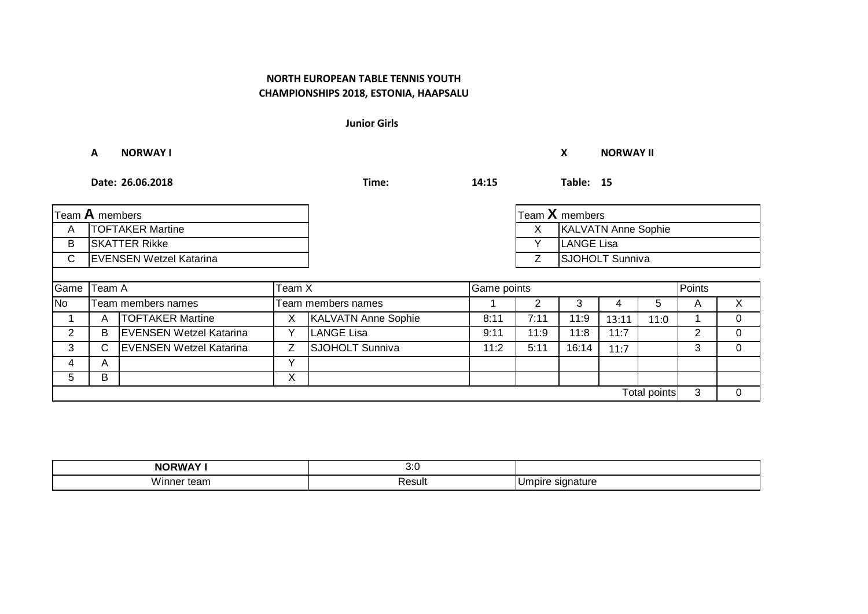**Junior Girls**

### **A NORWAY I X NORWAY II**

**Date: 26.06.2018 Time: 14:15 Table: 15**

| Team A members |                                |                                |              |                            |      |      | Team X members             |       |              |                |          |  |
|----------------|--------------------------------|--------------------------------|--------------|----------------------------|------|------|----------------------------|-------|--------------|----------------|----------|--|
| A              |                                | <b>TOFTAKER Martine</b>        |              |                            |      | X    | <b>KALVATN Anne Sophie</b> |       |              |                |          |  |
| B              | <b>SKATTER Rikke</b>           |                                |              |                            |      |      | <b>LANGE Lisa</b>          |       |              |                |          |  |
| C              | <b>EVENSEN Wetzel Katarina</b> |                                |              |                            |      | Ζ    | <b>SJOHOLT Sunniva</b>     |       |              |                |          |  |
|                |                                |                                |              |                            |      |      |                            |       |              |                |          |  |
| Game           | Team A<br>Team X               |                                |              | Game points                |      |      |                            |       |              | Points         |          |  |
| <b>No</b>      |                                | Team members names             |              | Team members names         |      |      | 3                          | 4     | 5.           | A              | X.       |  |
|                | A                              | <b>TOFTAKER Martine</b>        | X            | <b>KALVATN Anne Sophie</b> | 8:11 | 7:11 | 11:9                       | 13:11 | 11:0         |                |          |  |
| 2              | B                              | <b>EVENSEN Wetzel Katarina</b> | v            | <b>LANGE Lisa</b>          | 9:11 | 11:9 | 11:8                       | 11:7  |              | $\overline{2}$ | $\Omega$ |  |
| 3              | C.                             | <b>EVENSEN Wetzel Katarina</b> | Z.           | <b>SJOHOLT Sunniva</b>     | 11:2 | 5:11 | 16:14                      | 11:7  |              | 3              |          |  |
| 4              | A                              |                                | $\checkmark$ |                            |      |      |                            |       |              |                |          |  |
| 5              | B                              |                                | X            |                            |      |      |                            |       |              |                |          |  |
|                |                                |                                |              |                            |      |      |                            |       | Total points | 3              |          |  |

| <b>NORWAY I</b>                      | ו כ<br>v.v |                   |
|--------------------------------------|------------|-------------------|
| <br>w<br>τeam<br>11 I <del>C</del> I | Result     | . ниге<br>$\cdot$ |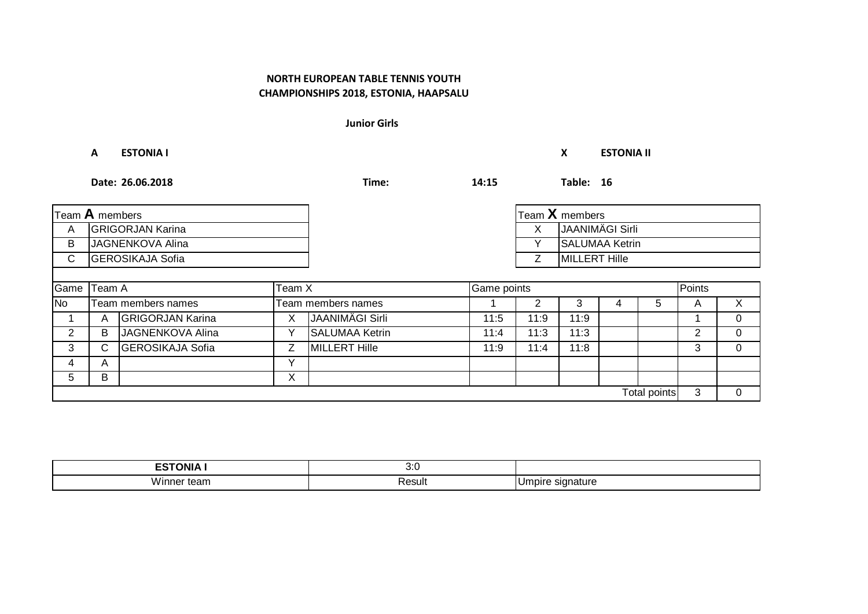**Junior Girls**

### **A ESTONIA I X ESTONIA II**

**Date: 26.06.2018 Time: 14:15 Table: 16**

| Team $A$ members |                         |                         |              |                       |      |        | Team X members         |   |              |   |          |
|------------------|-------------------------|-------------------------|--------------|-----------------------|------|--------|------------------------|---|--------------|---|----------|
| A                |                         | <b>GRIGORJAN Karina</b> |              |                       |      | X      | <b>JAANIMÄGI Sirli</b> |   |              |   |          |
| В                | JAGNENKOVA Alina        |                         |              |                       |      | v      | <b>SALUMAA Ketrin</b>  |   |              |   |          |
| С                | <b>GEROSIKAJA Sofia</b> |                         |              |                       |      | Ζ      | MILLERT Hille          |   |              |   |          |
|                  |                         |                         |              |                       |      |        |                        |   |              |   |          |
|                  | Game Team A<br>Team X   |                         |              | Game points           |      | Points |                        |   |              |   |          |
| <b>No</b>        |                         | Team members names      |              | Team members names    |      |        | 3                      | 4 | 5            | A | X        |
|                  | A                       | <b>GRIGORJAN Karina</b> | Χ            | JAANIMÄGI Sirli       | 11:5 | 11:9   | 11:9                   |   |              |   | 0        |
| 2                | B                       | <b>JAGNENKOVA Alina</b> | v            | <b>SALUMAA Ketrin</b> | 11:4 | 11:3   | 11:3                   |   |              | 2 | 0        |
| 3                | C                       | <b>GEROSIKAJA Sofia</b> | 7            | <b>MILLERT Hille</b>  | 11:9 | 11:4   | 11:8                   |   |              | 3 | $\Omega$ |
| 4                | A                       |                         | $\checkmark$ |                       |      |        |                        |   |              |   |          |
| 5                | B                       |                         | X            |                       |      |        |                        |   |              |   |          |
|                  |                         |                         |              |                       |      |        |                        |   | Total points | 3 | 0        |

| <b>ESTONIA</b>                | $\mathcal{D} \cdot C$<br>v.v |                                  |
|-------------------------------|------------------------------|----------------------------------|
| <br>Winner<br>$+0.2m$<br>lean | Result                       | signature<br>. 1025<br>יוט.<br>. |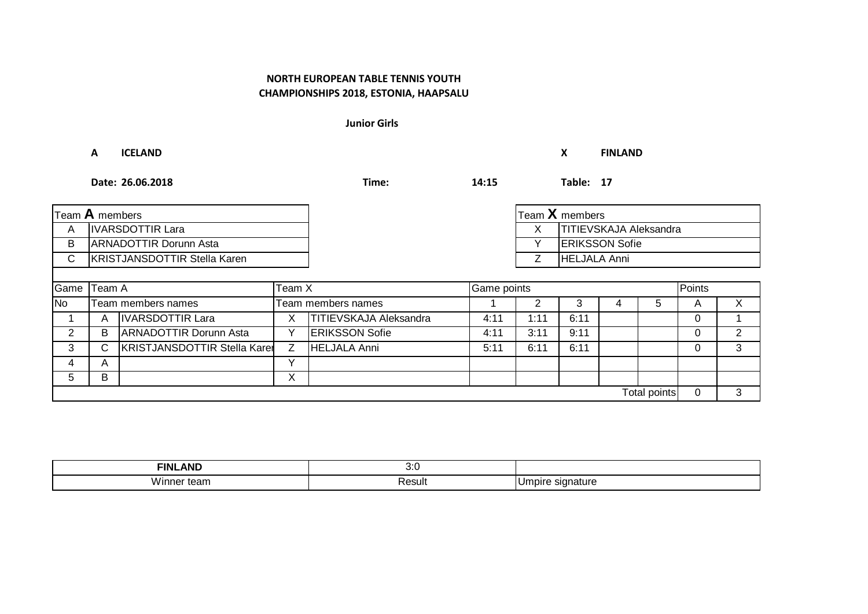**Junior Girls**

**A ICELAND X FINLAND**

**Date: 26.06.2018 Time: 14:15 Table: 17**

| Team $\bf A$ members |                                     |                                     |              |                               |             |                     | Team X members                |  |              |          |                |  |
|----------------------|-------------------------------------|-------------------------------------|--------------|-------------------------------|-------------|---------------------|-------------------------------|--|--------------|----------|----------------|--|
| A                    |                                     | <b>IVARSDOTTIR Lara</b>             |              |                               |             | X.                  | <b>TITIEVSKAJA Aleksandra</b> |  |              |          |                |  |
| B                    | <b>ARNADOTTIR Dorunn Asta</b>       |                                     |              |                               |             | Y                   | <b>ERIKSSON Sofie</b>         |  |              |          |                |  |
| C.                   | <b>KRISTJANSDOTTIR Stella Karen</b> |                                     |              |                               | Ζ           | <b>HELJALA Anni</b> |                               |  |              |          |                |  |
|                      |                                     |                                     |              |                               |             |                     |                               |  |              |          |                |  |
|                      | Game Team A<br>Team X               |                                     |              |                               | Game points |                     |                               |  |              |          | Points         |  |
| <b>No</b>            |                                     | Team members names                  |              | Team members names            |             |                     |                               |  | 5            | A        | X.             |  |
|                      | A                                   | <b>IVARSDOTTIR Lara</b>             | X            | <b>TITIEVSKAJA Aleksandra</b> | 4:11        | 1:11                | 6:11                          |  |              | 0        |                |  |
| $\overline{2}$       | B                                   | <b>ARNADOTTIR Dorunn Asta</b>       | v            | <b>ERIKSSON Sofie</b>         | 4:11        | 3:11                | 9:11                          |  |              | $\Omega$ | $\overline{2}$ |  |
| 3                    | С                                   | <b>KRISTJANSDOTTIR Stella Karer</b> | Ζ            | HELJALA Anni                  | 5:11        | 6:11                | 6:11                          |  |              | $\Omega$ | 3              |  |
| 4                    | A                                   |                                     | $\checkmark$ |                               |             |                     |                               |  |              |          |                |  |
| 5.                   | B                                   |                                     | X            |                               |             |                     |                               |  |              |          |                |  |
|                      |                                     |                                     |              |                               |             |                     |                               |  | Total points | 0        | 3              |  |

| <b>_AND</b><br><b>FINL</b>              | າ.ເ<br>v.v |                                                    |
|-----------------------------------------|------------|----------------------------------------------------|
| <br>Winne<br>team<br>าner<br><b>. .</b> | Result     | . .<br>signature<br>10 <sup>o</sup><br>11 W H<br>◡ |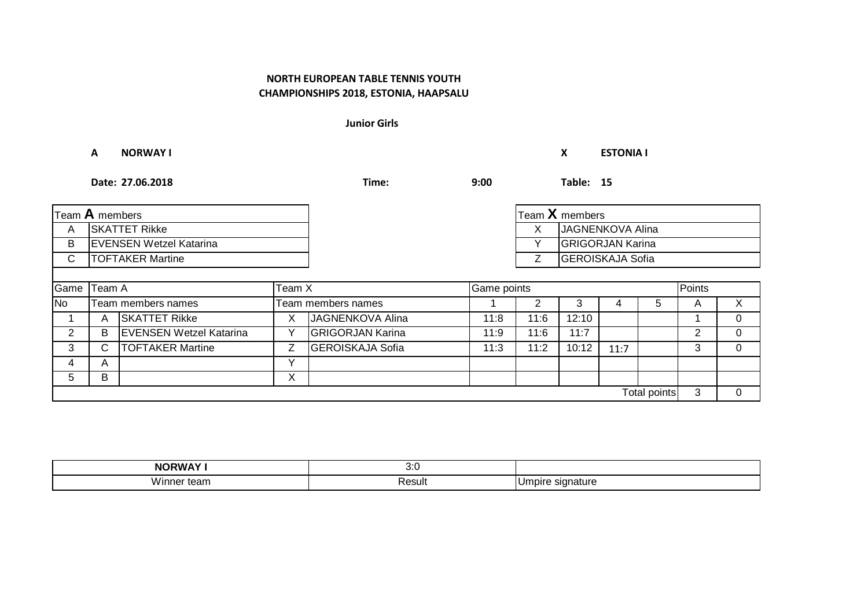**Junior Girls**

**A NORWAY I X ESTONIA I**

**Date: 27.06.2018 Time: 9:00 Table: 15**

| Team A members |                                |                                |   |                         |      |      | Team $X$ members        |      |              |        |    |
|----------------|--------------------------------|--------------------------------|---|-------------------------|------|------|-------------------------|------|--------------|--------|----|
| A              |                                | <b>SKATTET Rikke</b>           |   |                         |      | X    | JAGNENKOVA Alina        |      |              |        |    |
| В              | <b>EVENSEN Wetzel Katarina</b> |                                |   |                         |      |      | <b>GRIGORJAN Karina</b> |      |              |        |    |
| С              | <b>TOFTAKER Martine</b>        |                                |   |                         |      | Ζ    | <b>GEROISKAJA Sofia</b> |      |              |        |    |
|                |                                |                                |   |                         |      |      |                         |      |              |        |    |
| Game           | Team A<br>Team X               |                                |   | Game points             |      |      |                         |      |              | Points |    |
| <b>No</b>      |                                | Team members names             |   | Team members names      |      |      | 3                       | 4    | 5            | A      | X. |
|                | A                              | <b>SKATTET Rikke</b>           | х | JAGNENKOVA Alina        | 11:8 | 11:6 | 12:10                   |      |              |        | 0  |
| 2              | B                              | <b>EVENSEN Wetzel Katarina</b> |   | <b>GRIGORJAN Karina</b> | 11:9 | 11:6 | 11:7                    |      |              | 2      | 0  |
| 3              | С                              | <b>TOFTAKER Martine</b>        | Z | <b>GEROISKAJA Sofia</b> | 11:3 | 11:2 | 10:12                   | 11:7 |              | 3      | 0  |
| 4              | A                              |                                |   |                         |      |      |                         |      |              |        |    |
| 5              | в                              |                                | Χ |                         |      |      |                         |      |              |        |    |
|                |                                |                                |   |                         |      |      |                         |      | Total points | 3      | 0  |

| --------<br><b>NORWA</b> | ,,,<br>$\cup$ . $\cup$ |                                          |
|--------------------------|------------------------|------------------------------------------|
| Wu<br>w<br>ner<br>ucan   | Result                 | eture <sup>.</sup><br>510.<br>,,,,,<br>∼ |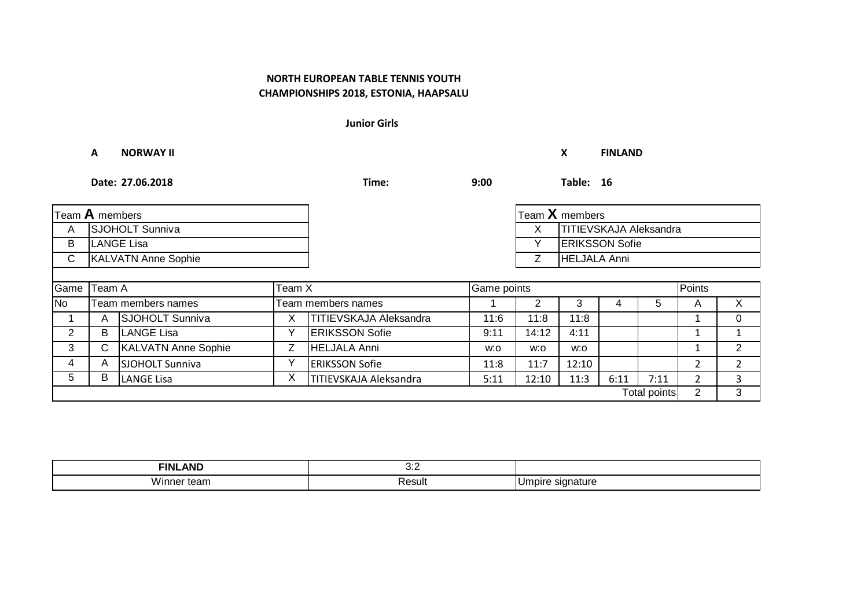**Junior Girls**

|                | A                          | <b>NORWAY II</b>           |        |                        |      |             | X                             | <b>FINLAND</b> |              |                |              |
|----------------|----------------------------|----------------------------|--------|------------------------|------|-------------|-------------------------------|----------------|--------------|----------------|--------------|
|                |                            | Date: 27.06.2018           |        | Time:                  | 9:00 |             | Table: 16                     |                |              |                |              |
| Team A members |                            |                            |        |                        |      |             | Team $X$ members              |                |              |                |              |
| A              | SJOHOLT Sunniva            |                            |        |                        |      | X           | <b>TITIEVSKAJA Aleksandra</b> |                |              |                |              |
| В              | <b>LANGE Lisa</b>          |                            |        |                        |      | Υ           | <b>ERIKSSON Sofie</b>         |                |              |                |              |
| C              | <b>KALVATN Anne Sophie</b> |                            |        |                        |      | Ζ           | <b>HELJALA Anni</b>           |                |              |                |              |
|                |                            |                            |        |                        |      |             |                               |                |              |                |              |
| Game Team A    |                            |                            | Team X |                        |      | Game points |                               |                | Points       |                |              |
| <b>No</b>      |                            | Team members names         |        | Team members names     |      | 2           | 3                             | 4              | 5            | A              | $\times$     |
|                | A                          | <b>SJOHOLT Sunniva</b>     | X      | TITIEVSKAJA Aleksandra | 11:6 | 11:8        | 11:8                          |                |              |                | $\Omega$     |
| $\overline{2}$ | B                          | <b>LANGE Lisa</b>          | Υ      | <b>ERIKSSON Sofie</b>  | 9:11 | 14:12       | 4:11                          |                |              |                |              |
| 3              | C                          | <b>KALVATN Anne Sophie</b> | Ζ      | <b>HELJALA Anni</b>    | w:o  | w:o         | w:o                           |                |              |                | 2            |
| 4              | A                          | <b>SJOHOLT Sunniva</b>     | Υ      | <b>ERIKSSON Sofie</b>  | 11:8 | 11:7        | 12:10                         |                |              | 2              | $\mathbf{2}$ |
| 5              | в                          | <b>LANGE Lisa</b>          | X      | TITIEVSKAJA Aleksandra | 5:11 | 12:10       | 11:3                          | 6:11           | 7:11         | $\overline{2}$ | 3            |
|                |                            |                            |        |                        |      |             |                               |                | Total points | 2              | 3            |

| <b>AND</b><br><b>FINL</b> | ה ה<br>$\mathsf{v}.\mathsf{c}$ |                 |
|---------------------------|--------------------------------|-----------------|
| <br>/inner<br>21 I        | Result                         | Umpire<br>natur |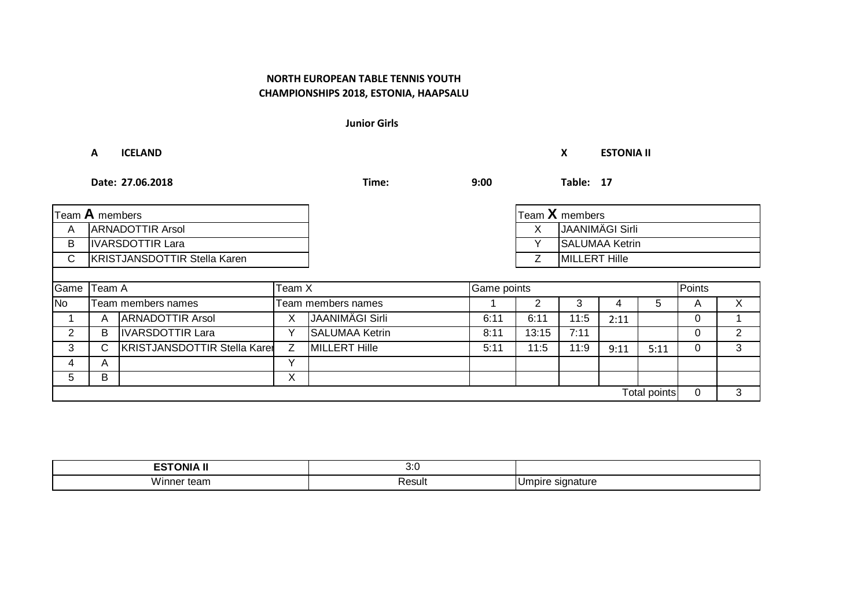**Junior Girls**

#### **A ICELAND X ESTONIA II**

**Date: 27.06.2018 Time: 9:00 Table: 17**

| Team A members |                                     |                                     |    |                           |      |              | Team X members        |      |              |   |                       |
|----------------|-------------------------------------|-------------------------------------|----|---------------------------|------|--------------|-----------------------|------|--------------|---|-----------------------|
| A              |                                     | <b>ARNADOTTIR Arsol</b>             |    |                           |      | X            | JAANIMÄGI Sirli       |      |              |   |                       |
| B              |                                     | <b>IVARSDOTTIR Lara</b>             |    |                           |      | $\checkmark$ | <b>SALUMAA Ketrin</b> |      |              |   |                       |
| $\mathsf{C}$   | <b>KRISTJANSDOTTIR Stella Karen</b> |                                     |    |                           |      | Z            | <b>MILLERT Hille</b>  |      |              |   |                       |
|                |                                     |                                     |    |                           |      |              |                       |      |              |   |                       |
| Game           | Team A<br>Team X                    |                                     |    | Game points               |      |              |                       |      | Points       |   |                       |
| <b>No</b>      |                                     | Team members names                  |    | <b>Team members names</b> |      |              | 3                     |      | 5            | A | X                     |
|                | A                                   | <b>ARNADOTTIR Arsol</b>             | X. | JAANIMÄGI Sirli           | 6:11 | 6:11         | 11:5                  | 2:11 |              | 0 |                       |
| 2              | B                                   | <b>IVARSDOTTIR Lara</b>             |    | <b>SALUMAA Ketrin</b>     | 8:11 | 13:15        | 7:11                  |      |              | 0 | $\mathbf{2}^{\prime}$ |
| 3              | С                                   | <b>KRISTJANSDOTTIR Stella Karer</b> | Z  | <b>MILLERT Hille</b>      | 5:11 | 11:5         | 11:9                  | 9:11 | 5:11         | 0 | 3                     |
| 4              | A                                   |                                     | v  |                           |      |              |                       |      |              |   |                       |
| 5              | B                                   |                                     | X. |                           |      |              |                       |      |              |   |                       |
|                |                                     |                                     |    |                           |      |              |                       |      | Total points | 0 | 3                     |

| <b>FSTONIA</b><br>$ -$ | $\ddot{\phantom{0}}$<br>v.v |                  |
|------------------------|-----------------------------|------------------|
| <br>VVinne,<br>ισαιι   | Resul                       | าature<br>Impire |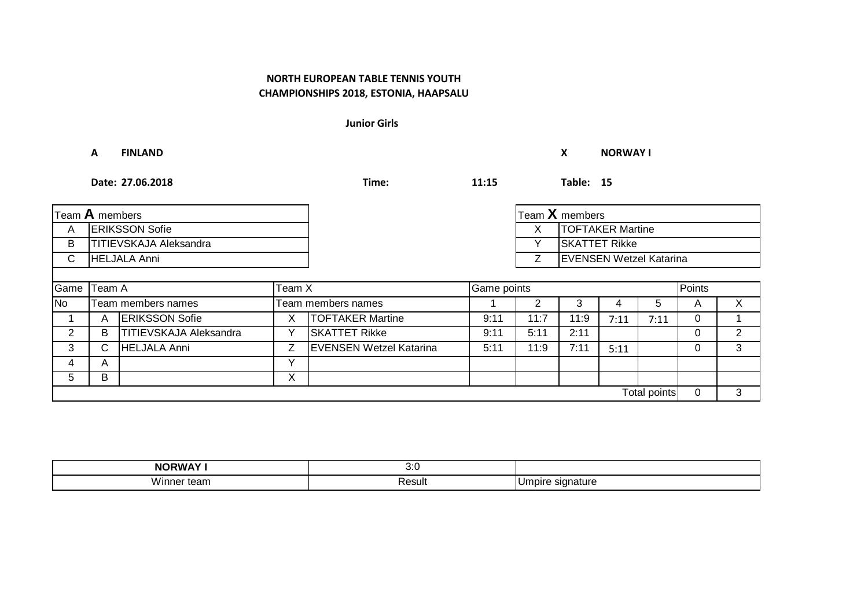**Junior Girls**

### **A FINLAND X NORWAY I**

**Date: 27.06.2018 Time: 11:15 Table: 15**

| Team A members |                              |                               |                    |                                |             |      | Team X members                 |      |              |              |              |
|----------------|------------------------------|-------------------------------|--------------------|--------------------------------|-------------|------|--------------------------------|------|--------------|--------------|--------------|
| A              | <b>ERIKSSON Sofie</b>        |                               |                    |                                |             | X    | <b>TOFTAKER Martine</b>        |      |              |              |              |
| B              | TITIEVSKAJA Aleksandra       |                               |                    |                                |             | Y    | <b>SKATTET Rikke</b>           |      |              |              |              |
| C              | <b>HELJALA Anni</b>          |                               |                    |                                |             |      | <b>EVENSEN Wetzel Katarina</b> |      |              |              |              |
|                |                              |                               |                    |                                |             |      |                                |      |              |              |              |
|                | Game Team A<br><b>Team X</b> |                               |                    |                                | Game points |      |                                |      | Points       |              |              |
| <b>No</b>      |                              | Team members names            | Team members names |                                |             |      |                                |      | b.           | $\mathsf{A}$ | $\mathsf{X}$ |
|                | A                            | <b>ERIKSSON Sofie</b>         |                    | <b>TOFTAKER Martine</b>        | 9:11        | 11:7 | 11:9                           | 7:11 | 7:11         | $\Omega$     |              |
| $\overline{2}$ | B                            | <b>TITIEVSKAJA Aleksandra</b> |                    | <b>SKATTET Rikke</b>           | 9:11        | 5:11 | 2:11                           |      |              | 0            | 2            |
| 3              | С                            | <b>HELJALA Anni</b>           | $\overline{z}$     | <b>EVENSEN Wetzel Katarina</b> | 5:11        | 11:9 | 7:11                           | 5:11 |              | $\Omega$     | 3            |
| 4              | A                            |                               | v                  |                                |             |      |                                |      |              |              |              |
| 5              | в                            |                               | X                  |                                |             |      |                                |      |              |              |              |
|                |                              |                               |                    |                                |             |      |                                |      | Total points | $\mathbf 0$  | 3            |

| <b>NORWAY'</b>         | ,,,<br>$\cup$ . $\cup$ |              |
|------------------------|------------------------|--------------|
| .<br>W.<br>ner<br>ισαπ | ⊀esult                 | ۱ľ<br>™ature |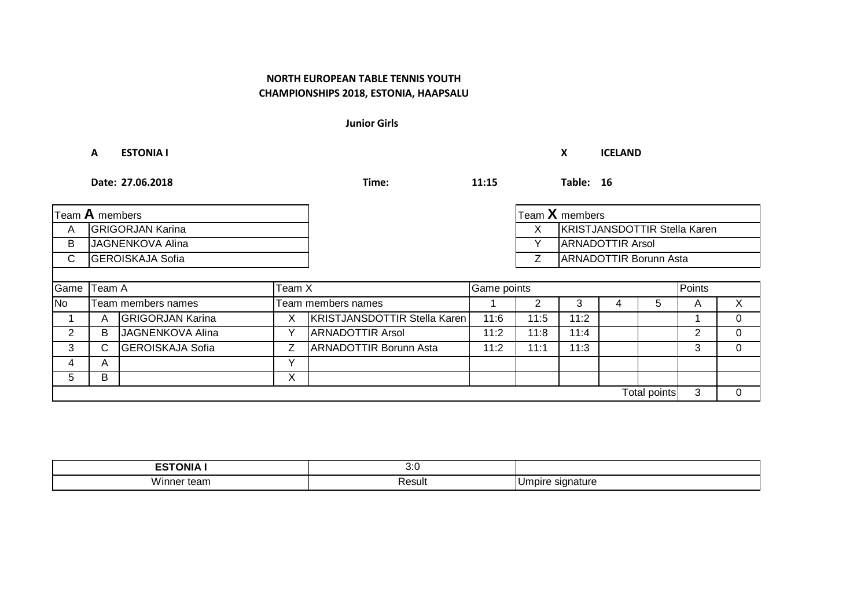**Junior Girls**

**A ESTONIA I X ICELAND**

**Date: 27.06.2018 Time: 11:15 Table: 16**

| Team $\bm{\mathsf{A}}$ members |                         |                         |   |                                     |             |      | Team $X$ members              |   |              |        |          |  |
|--------------------------------|-------------------------|-------------------------|---|-------------------------------------|-------------|------|-------------------------------|---|--------------|--------|----------|--|
| A                              | <b>GRIGORJAN Karina</b> |                         |   |                                     |             | X.   | KRISTJANSDOTTIR Stella Karen  |   |              |        |          |  |
| B                              | JAGNENKOVA Alina        |                         |   |                                     |             | Y    | <b>ARNADOTTIR Arsol</b>       |   |              |        |          |  |
| C                              | <b>GEROISKAJA Sofia</b> |                         |   |                                     |             |      | <b>ARNADOTTIR Borunn Asta</b> |   |              |        |          |  |
|                                |                         |                         |   |                                     |             |      |                               |   |              |        |          |  |
| Game                           | Team A<br>Team X        |                         |   |                                     | Game points |      |                               |   |              | Points |          |  |
| No                             |                         | Team members names      |   | Team members names                  | 3<br>2      |      | 5                             | A | $\mathsf{X}$ |        |          |  |
|                                | A                       | <b>GRIGORJAN Karina</b> | X | <b>KRISTJANSDOTTIR Stella Karen</b> | 11:6        | 11:5 | 11:2                          |   |              |        | $\Omega$ |  |
| $\overline{2}$                 | B                       | JAGNENKOVA Alina        |   | <b>ARNADOTTIR Arsol</b>             | 11:2        | 11:8 | 11:4                          |   |              | 2      | $\Omega$ |  |
| 3                              | C.                      | <b>GEROISKAJA Sofia</b> | Z | <b>ARNADOTTIR Borunn Asta</b>       | 11:2        | 11:1 | 11:3                          |   |              | 3      | $\Omega$ |  |
| 4                              | A                       |                         |   |                                     |             |      |                               |   |              |        |          |  |
| 5                              | B                       |                         | Χ |                                     |             |      |                               |   |              |        |          |  |
|                                |                         |                         |   |                                     |             |      |                               |   | Total points | 3      | $\Omega$ |  |

| <b>ESTONIA</b><br>– ⊃ | า.∩<br>v.v |                                      |
|-----------------------|------------|--------------------------------------|
| Winner team           | Result     | signature<br>$\sim$<br>apire.<br>۰ س |